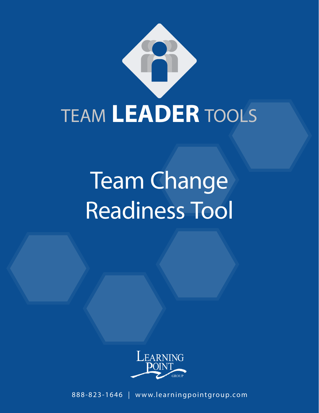

# Team Change Readiness Tool



888-823-1646 | www.learningpointgroup.com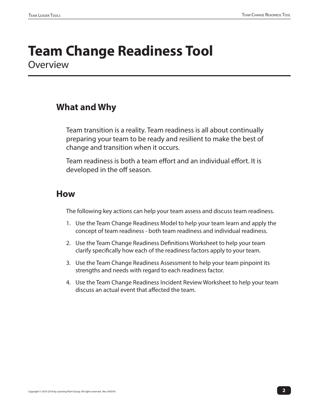### **Team Change Readiness Tool Overview**

#### **What and Why**

Team transition is a reality. Team readiness is all about continually preparing your team to be ready and resilient to make the best of change and transition when it occurs.

Team readiness is both a team effort and an individual effort. It is developed in the off season.

#### **How**

The following key actions can help your team assess and discuss team readiness.

- 1. Use the Team Change Readiness Model to help your team learn and apply the concept of team readiness - both team readiness and individual readiness.
- 2. Use the Team Change Readiness Definitions Worksheet to help your team clarify specifically how each of the readiness factors apply to your team.
- 3. Use the Team Change Readiness Assessment to help your team pinpoint its strengths and needs with regard to each readiness factor.
- 4. Use the Team Change Readiness Incident Review Worksheet to help your team discuss an actual event that affected the team.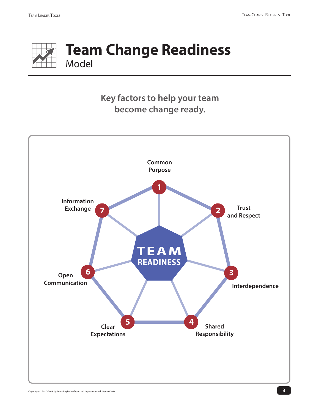

## **Team Change Readiness** Model

### **Key factors to help your team become change ready.**

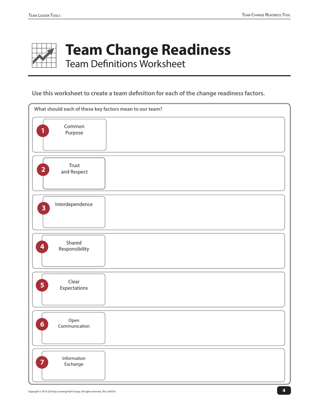

## **Team Change Readiness**

Team Definitions Worksheet

#### **Use this worksheet to create a team definition for each of the change readiness factors.**

| What should each of these key factors mean to our team? |  |  |  |  |  |
|---------------------------------------------------------|--|--|--|--|--|
| Common<br>1<br>Purpose                                  |  |  |  |  |  |
| Trust<br>$\mathbf{2}$<br>and Respect                    |  |  |  |  |  |
| Interdependence<br>$\overline{\mathbf{3}}$              |  |  |  |  |  |
| Shared<br>4<br>Responsibility                           |  |  |  |  |  |
| Clear<br>5<br>Expectations                              |  |  |  |  |  |
| Open<br>6 <sup>1</sup><br>Communication                 |  |  |  |  |  |
| Information<br>$\overline{7}$<br>Exchange               |  |  |  |  |  |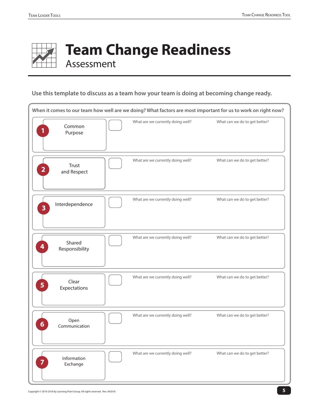

## **Team Change Readiness** Assessment

#### **Use this template to discuss as a team how your team is doing at becoming change ready.**

|                         |                          |                                   | When it comes to our team how well are we doing? What factors are most important for us to work on right now? |
|-------------------------|--------------------------|-----------------------------------|---------------------------------------------------------------------------------------------------------------|
|                         | Common<br>Purpose        | What are we currently doing well? | What can we do to get better?                                                                                 |
| $\overline{\mathbf{2}}$ | Trust<br>and Respect     | What are we currently doing well? | What can we do to get better?                                                                                 |
| $\overline{\mathbf{3}}$ | Interdependence          | What are we currently doing well? | What can we do to get better?                                                                                 |
| 4                       | Shared<br>Responsibility | What are we currently doing well? | What can we do to get better?                                                                                 |
| 5 <sub>1</sub>          | Clear<br>Expectations    | What are we currently doing well? | What can we do to get better?                                                                                 |
| 6                       | Open<br>Communication    | What are we currently doing well? | What can we do to get better?                                                                                 |
|                         | Information<br>Exchange  | What are we currently doing well? | What can we do to get better?                                                                                 |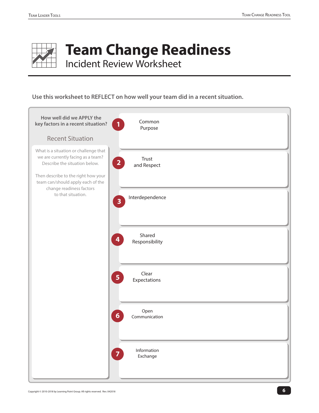

## **Team Change Readiness**

Incident Review Worksheet

#### **Use this worksheet to REFLECT on how well your team did in a recent situation.**